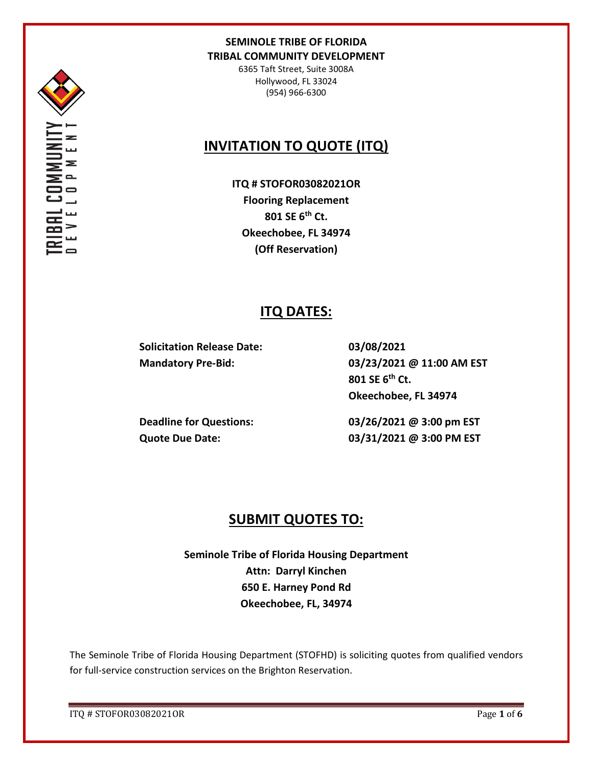

6365 Taft Street, Suite 3008A Hollywood, FL 33024 (954) 966-6300

# **INVITATION TO QUOTE (ITQ)**

**ITQ # STOFOR03082021OR Flooring Replacement 801 SE 6th Ct. Okeechobee, FL 34974 (Off Reservation)**

# **ITQ DATES:**

**Solicitation Release Date: 03/08/2021**

**Mandatory Pre-Bid: 03/23/2021 @ 11:00 AM EST 801 SE 6th Ct. Okeechobee, FL 34974**

**Deadline for Questions: 03/26/2021 @ 3:00 pm EST Quote Due Date: 03/31/2021 @ 3:00 PM EST**

# **SUBMIT QUOTES TO:**

**Seminole Tribe of Florida Housing Department Attn: Darryl Kinchen 650 E. Harney Pond Rd Okeechobee, FL, 34974**

The Seminole Tribe of Florida Housing Department (STOFHD) is soliciting quotes from qualified vendors for full-service construction services on the Brighton Reservation.

ITQ # STOFOR03082021OR Page **1** of **6**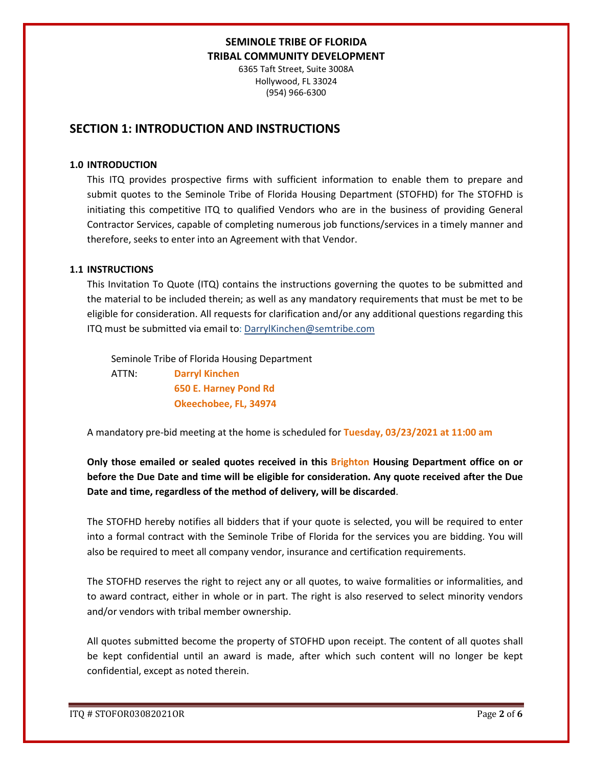6365 Taft Street, Suite 3008A Hollywood, FL 33024 (954) 966-6300

## **SECTION 1: INTRODUCTION AND INSTRUCTIONS**

#### **1.0 INTRODUCTION**

This ITQ provides prospective firms with sufficient information to enable them to prepare and submit quotes to the Seminole Tribe of Florida Housing Department (STOFHD) for The STOFHD is initiating this competitive ITQ to qualified Vendors who are in the business of providing General Contractor Services, capable of completing numerous job functions/services in a timely manner and therefore, seeks to enter into an Agreement with that Vendor.

#### **1.1 INSTRUCTIONS**

This Invitation To Quote (ITQ) contains the instructions governing the quotes to be submitted and the material to be included therein; as well as any mandatory requirements that must be met to be eligible for consideration. All requests for clarification and/or any additional questions regarding this ITQ must be submitted via email to: DarrylKinchen@semtribe.com

 Seminole Tribe of Florida Housing Department ATTN: **Darryl Kinchen**

 **650 E. Harney Pond Rd Okeechobee, FL, 34974**

A mandatory pre-bid meeting at the home is scheduled for **Tuesday, 03/23/2021 at 11:00 am**

**Only those emailed or sealed quotes received in this Brighton Housing Department office on or before the Due Date and time will be eligible for consideration. Any quote received after the Due Date and time, regardless of the method of delivery, will be discarded**.

The STOFHD hereby notifies all bidders that if your quote is selected, you will be required to enter into a formal contract with the Seminole Tribe of Florida for the services you are bidding. You will also be required to meet all company vendor, insurance and certification requirements.

The STOFHD reserves the right to reject any or all quotes, to waive formalities or informalities, and to award contract, either in whole or in part. The right is also reserved to select minority vendors and/or vendors with tribal member ownership.

All quotes submitted become the property of STOFHD upon receipt. The content of all quotes shall be kept confidential until an award is made, after which such content will no longer be kept confidential, except as noted therein.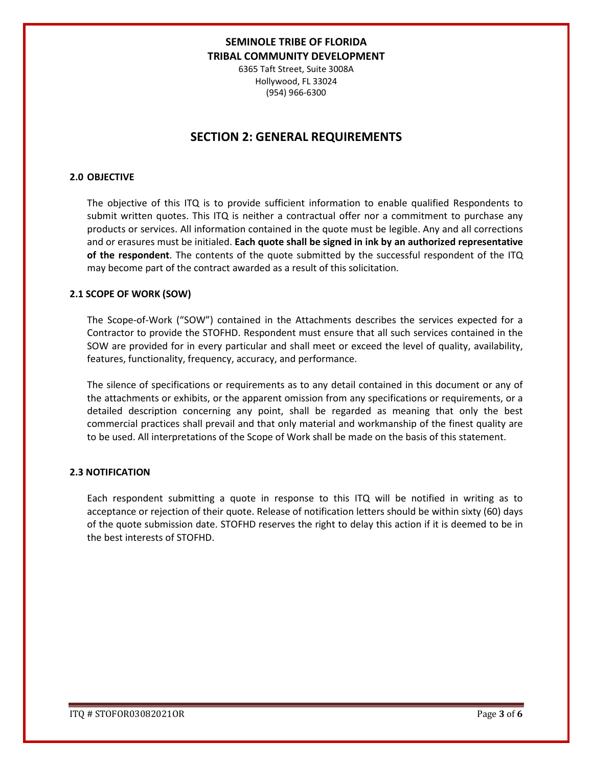6365 Taft Street, Suite 3008A Hollywood, FL 33024 (954) 966-6300

## **SECTION 2: GENERAL REQUIREMENTS**

### **2.0 OBJECTIVE**

The objective of this ITQ is to provide sufficient information to enable qualified Respondents to submit written quotes. This ITQ is neither a contractual offer nor a commitment to purchase any products or services. All information contained in the quote must be legible. Any and all corrections and or erasures must be initialed. **Each quote shall be signed in ink by an authorized representative of the respondent**. The contents of the quote submitted by the successful respondent of the ITQ may become part of the contract awarded as a result of this solicitation.

#### **2.1 SCOPE OF WORK (SOW)**

The Scope-of-Work ("SOW") contained in the Attachments describes the services expected for a Contractor to provide the STOFHD. Respondent must ensure that all such services contained in the SOW are provided for in every particular and shall meet or exceed the level of quality, availability, features, functionality, frequency, accuracy, and performance.

The silence of specifications or requirements as to any detail contained in this document or any of the attachments or exhibits, or the apparent omission from any specifications or requirements, or a detailed description concerning any point, shall be regarded as meaning that only the best commercial practices shall prevail and that only material and workmanship of the finest quality are to be used. All interpretations of the Scope of Work shall be made on the basis of this statement.

#### **2.3 NOTIFICATION**

Each respondent submitting a quote in response to this ITQ will be notified in writing as to acceptance or rejection of their quote. Release of notification letters should be within sixty (60) days of the quote submission date. STOFHD reserves the right to delay this action if it is deemed to be in the best interests of STOFHD.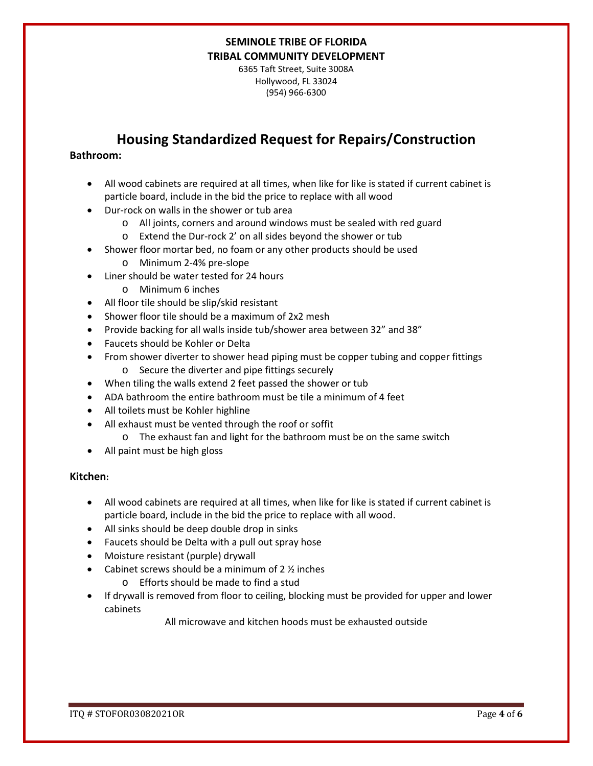6365 Taft Street, Suite 3008A Hollywood, FL 33024 (954) 966-6300

# **Housing Standardized Request for Repairs/Construction**

### **Bathroom:**

- All wood cabinets are required at all times, when like for like is stated if current cabinet is particle board, include in the bid the price to replace with all wood
- Dur-rock on walls in the shower or tub area
	- o All joints, corners and around windows must be sealed with red guard
	- o Extend the Dur-rock 2' on all sides beyond the shower or tub
- Shower floor mortar bed, no foam or any other products should be used
	- o Minimum 2-4% pre-slope
- Liner should be water tested for 24 hours
	- o Minimum 6 inches
- All floor tile should be slip/skid resistant
- Shower floor tile should be a maximum of 2x2 mesh
- Provide backing for all walls inside tub/shower area between 32" and 38"
- Faucets should be Kohler or Delta
- From shower diverter to shower head piping must be copper tubing and copper fittings o Secure the diverter and pipe fittings securely
- When tiling the walls extend 2 feet passed the shower or tub
- ADA bathroom the entire bathroom must be tile a minimum of 4 feet
- All toilets must be Kohler highline
- All exhaust must be vented through the roof or soffit
	- o The exhaust fan and light for the bathroom must be on the same switch
- All paint must be high gloss

### **Kitchen:**

- All wood cabinets are required at all times, when like for like is stated if current cabinet is particle board, include in the bid the price to replace with all wood.
- All sinks should be deep double drop in sinks
- Faucets should be Delta with a pull out spray hose
- Moisture resistant (purple) drywall
- Cabinet screws should be a minimum of  $2 \frac{1}{2}$  inches
	- o Efforts should be made to find a stud
- If drywall is removed from floor to ceiling, blocking must be provided for upper and lower cabinets

All microwave and kitchen hoods must be exhausted outside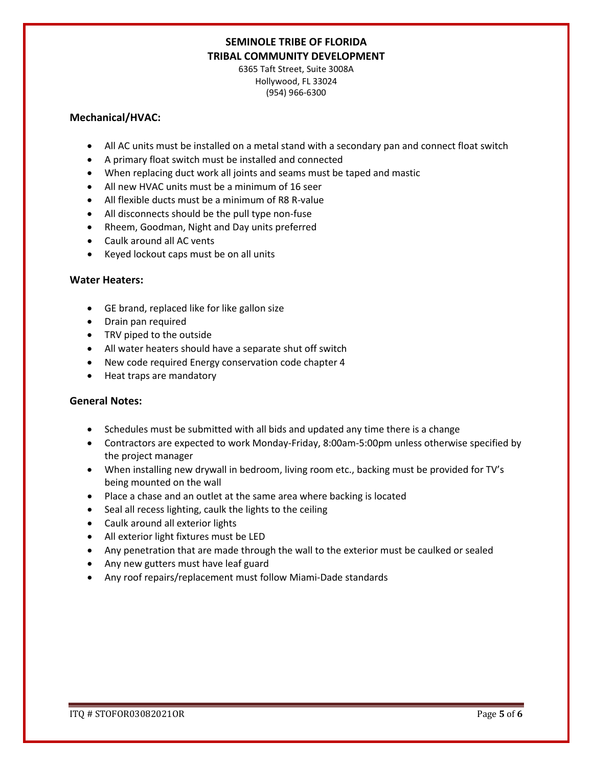6365 Taft Street, Suite 3008A Hollywood, FL 33024 (954) 966-6300

### **Mechanical/HVAC:**

- All AC units must be installed on a metal stand with a secondary pan and connect float switch
- A primary float switch must be installed and connected
- When replacing duct work all joints and seams must be taped and mastic
- All new HVAC units must be a minimum of 16 seer
- All flexible ducts must be a minimum of R8 R-value
- All disconnects should be the pull type non-fuse
- Rheem, Goodman, Night and Day units preferred
- Caulk around all AC vents
- Keyed lockout caps must be on all units

#### **Water Heaters:**

- GE brand, replaced like for like gallon size
- Drain pan required
- TRV piped to the outside
- All water heaters should have a separate shut off switch
- New code required Energy conservation code chapter 4
- Heat traps are mandatory

#### **General Notes:**

- Schedules must be submitted with all bids and updated any time there is a change
- Contractors are expected to work Monday-Friday, 8:00am-5:00pm unless otherwise specified by the project manager
- When installing new drywall in bedroom, living room etc., backing must be provided for TV's being mounted on the wall
- Place a chase and an outlet at the same area where backing is located
- Seal all recess lighting, caulk the lights to the ceiling
- Caulk around all exterior lights
- All exterior light fixtures must be LED
- Any penetration that are made through the wall to the exterior must be caulked or sealed
- Any new gutters must have leaf guard
- Any roof repairs/replacement must follow Miami-Dade standards